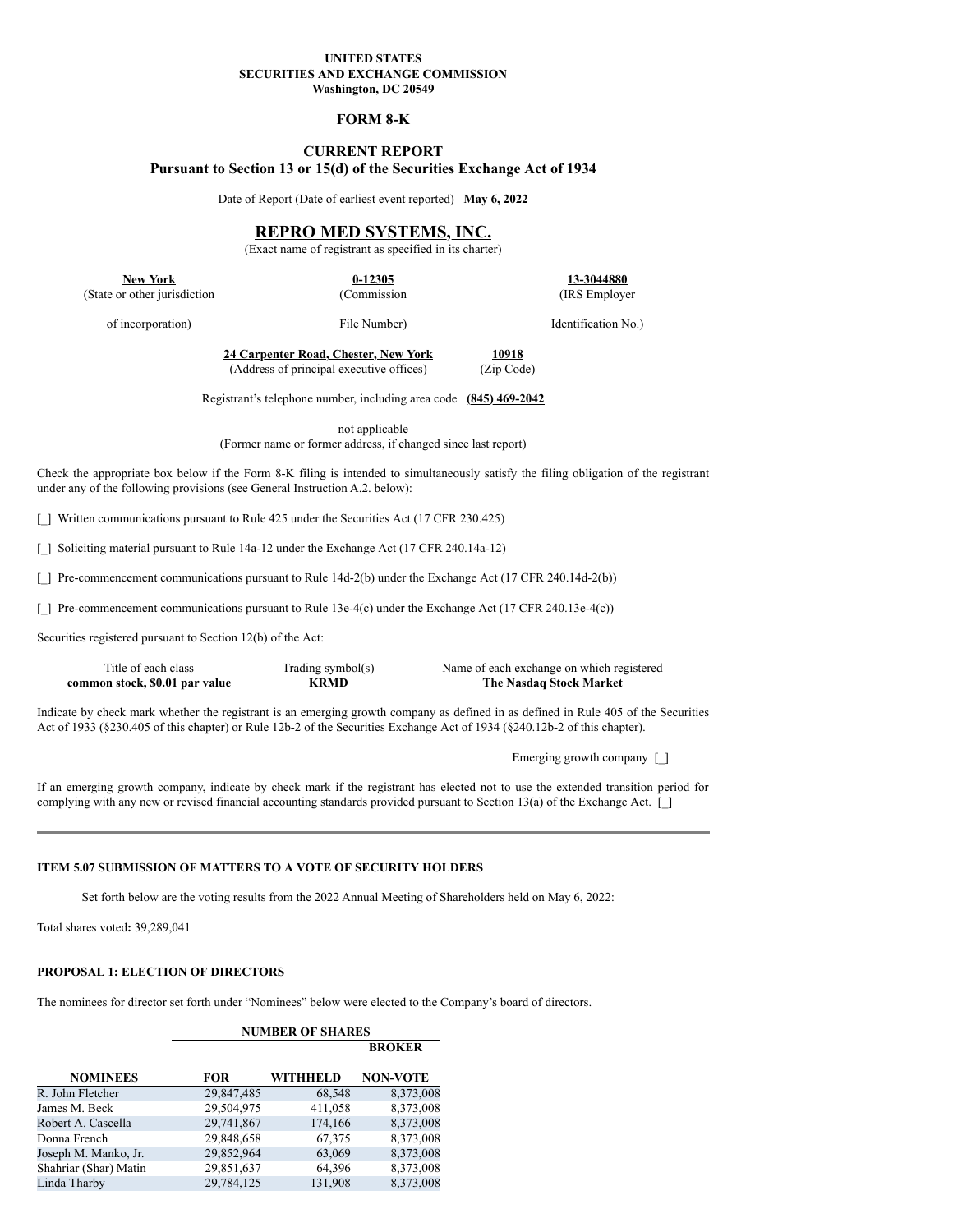## **UNITED STATES SECURITIES AND EXCHANGE COMMISSION Washington, DC 20549**

## **FORM 8-K**

# **CURRENT REPORT Pursuant to Section 13 or 15(d) of the Securities Exchange Act of 1934**

Date of Report (Date of earliest event reported) **May 6, 2022**

# **REPRO MED SYSTEMS, INC.**

(Exact name of registrant as specified in its charter)

(Commission File Number)

**New York 0-12305 13-3044880** (State or other jurisdiction

(IRS Employer

Identification No.)

of incorporation)

**24 Carpenter Road, Chester, New York 10918** (Address of principal executive offices) (Zip Code)

Registrant's telephone number, including area code **(845) 469-2042**

not applicable

(Former name or former address, if changed since last report)

Check the appropriate box below if the Form 8-K filing is intended to simultaneously satisfy the filing obligation of the registrant under any of the following provisions (see General Instruction A.2. below):

[\_] Written communications pursuant to Rule 425 under the Securities Act (17 CFR 230.425)

[] Soliciting material pursuant to Rule 14a-12 under the Exchange Act (17 CFR 240.14a-12)

[\_] Pre-commencement communications pursuant to Rule 14d-2(b) under the Exchange Act (17 CFR 240.14d-2(b))

[\_] Pre-commencement communications pursuant to Rule 13e-4(c) under the Exchange Act (17 CFR 240.13e-4(c))

Securities registered pursuant to Section 12(b) of the Act:

**common stock, \$0.01 par value** 

Title of each class Trading symbol(s) Name of each exchange on which registered<br>on stock, \$0.01 par value KRMD The Nasdaq Stock Market

Indicate by check mark whether the registrant is an emerging growth company as defined in as defined in Rule 405 of the Securities Act of 1933 (§230.405 of this chapter) or Rule 12b-2 of the Securities Exchange Act of 1934 (§240.12b-2 of this chapter).

Emerging growth company [\_]

If an emerging growth company, indicate by check mark if the registrant has elected not to use the extended transition period for complying with any new or revised financial accounting standards provided pursuant to Section 13(a) of the Exchange Act. [

## **ITEM 5.07 SUBMISSION OF MATTERS TO A VOTE OF SECURITY HOLDERS**

Set forth below are the voting results from the 2022 Annual Meeting of Shareholders held on May 6, 2022:

Total shares voted**:** 39,289,041

## **PROPOSAL 1: ELECTION OF DIRECTORS**

The nominees for director set forth under "Nominees" below were elected to the Company's board of directors.

|                       |            | <b>NUMBER OF SHARES</b> |                 |
|-----------------------|------------|-------------------------|-----------------|
|                       |            |                         | <b>BROKER</b>   |
| <b>NOMINEES</b>       | FOR        | <b>WITHHELD</b>         | <b>NON-VOTE</b> |
| R. John Fletcher      | 29,847,485 | 68,548                  | 8,373,008       |
| James M. Beck         | 29,504,975 | 411,058                 | 8,373,008       |
| Robert A. Cascella    | 29,741,867 | 174,166                 | 8,373,008       |
| Donna French          | 29,848,658 | 67,375                  | 8,373,008       |
| Joseph M. Manko, Jr.  | 29,852,964 | 63,069                  | 8,373,008       |
| Shahriar (Shar) Matin | 29,851,637 | 64,396                  | 8,373,008       |
| Linda Tharby          | 29,784,125 | 131,908                 | 8,373,008       |